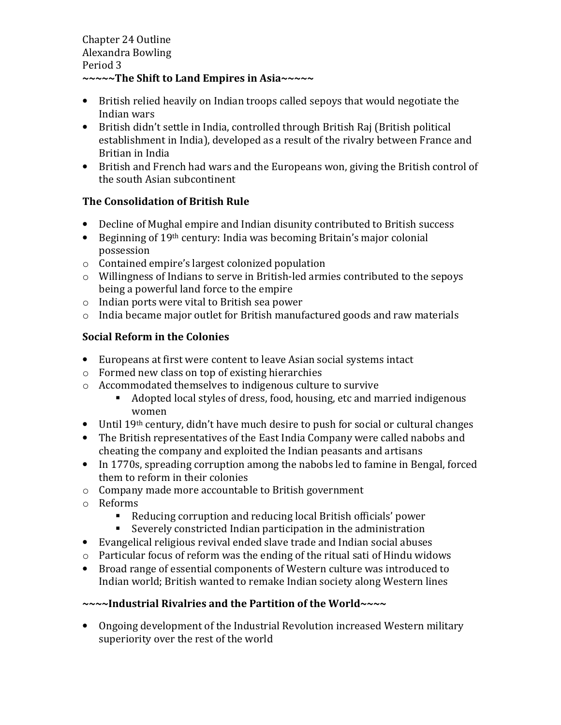- British relied heavily on Indian troops called sepoys that would negotiate the Indian wars
- British didn't settle in India, controlled through British Raj (British political establishment in India), developed as a result of the rivalry between France and Britian in India
- British and French had wars and the Europeans won, giving the British control of the south Asian subcontinent

# The Consolidation of British Rule

- Decline of Mughal empire and Indian disunity contributed to British success
- Beginning of 19th century: India was becoming Britain's major colonial possession
- o Contained empire's largest colonized population
- o Willingness of Indians to serve in British-led armies contributed to the sepoys being a powerful land force to the empire
- o Indian ports were vital to British sea power
- o India became major outlet for British manufactured goods and raw materials

# Social Reform in the Colonies

- Europeans at first were content to leave Asian social systems intact
- o Formed new class on top of existing hierarchies
- o Accommodated themselves to indigenous culture to survive
	- Adopted local styles of dress, food, housing, etc and married indigenous women
- Until 19<sup>th</sup> century, didn't have much desire to push for social or cultural changes
- The British representatives of the East India Company were called nabobs and cheating the company and exploited the Indian peasants and artisans
- In 1770s, spreading corruption among the nabobs led to famine in Bengal, forced them to reform in their colonies
- o Company made more accountable to British government
- o Reforms
	- Reducing corruption and reducing local British officials' power
	- Severely constricted Indian participation in the administration
- Evangelical religious revival ended slave trade and Indian social abuses
- o Particular focus of reform was the ending of the ritual sati of Hindu widows
- Broad range of essential components of Western culture was introduced to Indian world; British wanted to remake Indian society along Western lines

# ~~~~Industrial Rivalries and the Partition of the World~~~~

• Ongoing development of the Industrial Revolution increased Western military superiority over the rest of the world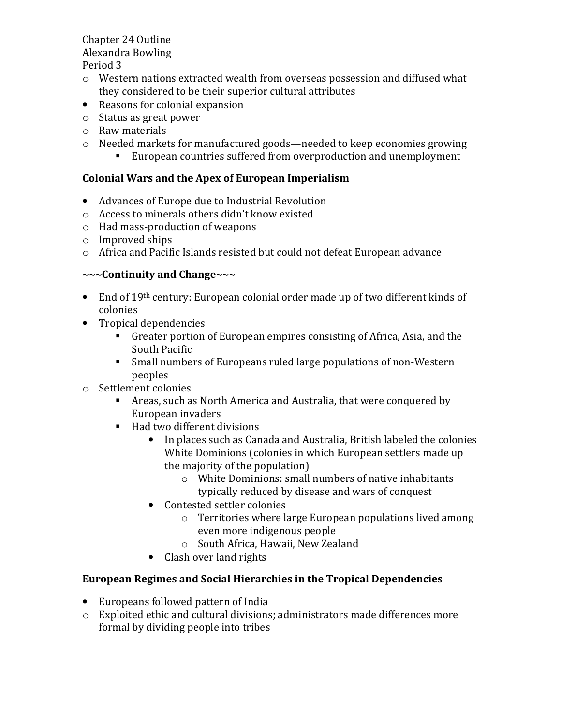# Chapter 24 Outline Alexandra Bowling

Period 3

- o Western nations extracted wealth from overseas possession and diffused what they considered to be their superior cultural attributes
- Reasons for colonial expansion
- o Status as great power
- o Raw materials
- o Needed markets for manufactured goods—needed to keep economies growing
	- European countries suffered from overproduction and unemployment

## Colonial Wars and the Apex of European Imperialism

- Advances of Europe due to Industrial Revolution
- o Access to minerals others didn't know existed
- o Had mass-production of weapons
- o Improved ships
- o Africa and Pacific Islands resisted but could not defeat European advance

### ~~~Continuity and Change~~~

- End of 19<sup>th</sup> century: European colonial order made up of two different kinds of colonies
- Tropical dependencies
	- Greater portion of European empires consisting of Africa, Asia, and the South Pacific
	- Small numbers of Europeans ruled large populations of non-Western peoples
- o Settlement colonies
	- Areas, such as North America and Australia, that were conquered by European invaders
	- Had two different divisions
		- In places such as Canada and Australia, British labeled the colonies White Dominions (colonies in which European settlers made up the majority of the population)
			- o White Dominions: small numbers of native inhabitants typically reduced by disease and wars of conquest
		- Contested settler colonies
			- o Territories where large European populations lived among even more indigenous people
			- o South Africa, Hawaii, New Zealand
		- Clash over land rights

# European Regimes and Social Hierarchies in the Tropical Dependencies

- Europeans followed pattern of India
- o Exploited ethic and cultural divisions; administrators made differences more formal by dividing people into tribes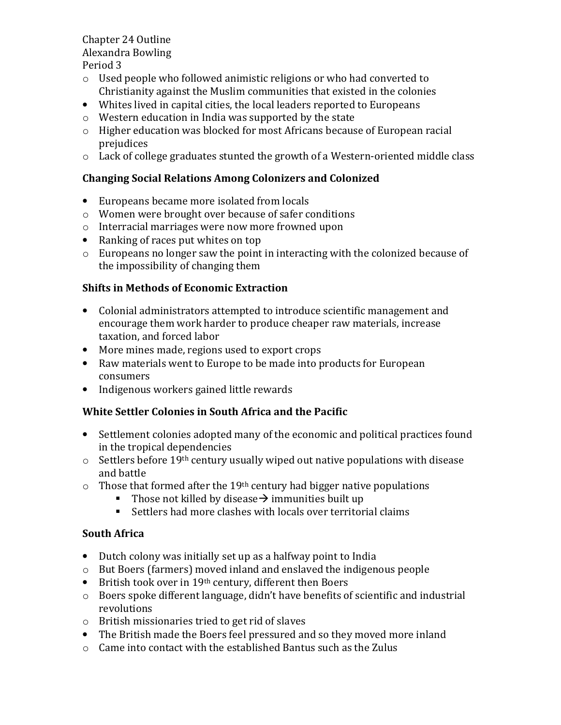#### Chapter 24 Outline Alexandra Bowling Period 3

- o Used people who followed animistic religions or who had converted to Christianity against the Muslim communities that existed in the colonies
- Whites lived in capital cities, the local leaders reported to Europeans
- o Western education in India was supported by the state
- o Higher education was blocked for most Africans because of European racial prejudices
- o Lack of college graduates stunted the growth of a Western-oriented middle class

### Changing Social Relations Among Colonizers and Colonized

- Europeans became more isolated from locals
- o Women were brought over because of safer conditions
- o Interracial marriages were now more frowned upon
- Ranking of races put whites on top
- o Europeans no longer saw the point in interacting with the colonized because of the impossibility of changing them

### Shifts in Methods of Economic Extraction

- Colonial administrators attempted to introduce scientific management and encourage them work harder to produce cheaper raw materials, increase taxation, and forced labor
- More mines made, regions used to export crops
- Raw materials went to Europe to be made into products for European consumers
- Indigenous workers gained little rewards

### White Settler Colonies in South Africa and the Pacific

- Settlement colonies adopted many of the economic and political practices found in the tropical dependencies
- $\circ$  Settlers before 19<sup>th</sup> century usually wiped out native populations with disease and battle
- $\circ$  Those that formed after the 19<sup>th</sup> century had bigger native populations
	- Those not killed by disease  $\rightarrow$  immunities built up
	- Settlers had more clashes with locals over territorial claims

### South Africa

- Dutch colony was initially set up as a halfway point to India
- o But Boers (farmers) moved inland and enslaved the indigenous people
- British took over in 19<sup>th</sup> century, different then Boers
- o Boers spoke different language, didn't have benefits of scientific and industrial revolutions
- o British missionaries tried to get rid of slaves
- The British made the Boers feel pressured and so they moved more inland
- o Came into contact with the established Bantus such as the Zulus